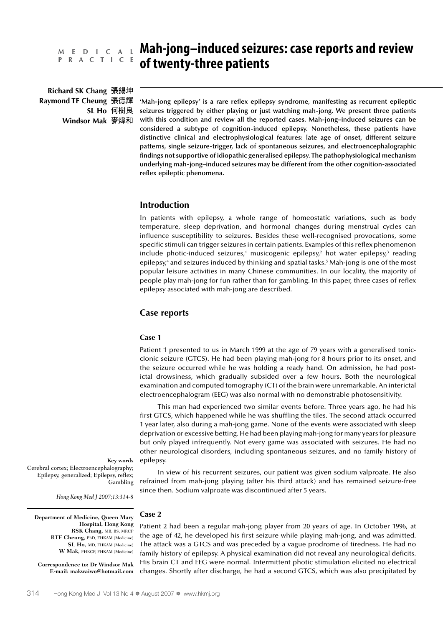# **P R A C T I C E**

**Richard SK Chang Raymond TF Cheung SL Ho Windsor Mak**

## **Mah-jong–induced seizures: case reports and review M E D I C A L of twenty-three patients**

**'Mah-jong epilepsy' is a rare reflex epilepsy syndrome, manifesting as recurrent epileptic seizures triggered by either playing or just watching mah-jong. We present three patients with this condition and review all the reported cases. Mah-jong–induced seizures can be considered a subtype of cognition-induced epilepsy. Nonetheless, these patients have distinctive clinical and electrophysiological features: late age of onset, different seizure patterns, single seizure-trigger, lack of spontaneous seizures, and electroencephalographic findings not supportive of idiopathic generalised epilepsy. The pathophysiological mechanism underlying mah-jong–induced seizures may be different from the other cognition-associated reflex epileptic phenomena.**

## **Introduction**

In patients with epilepsy, a whole range of homeostatic variations, such as body temperature, sleep deprivation, and hormonal changes during menstrual cycles can influence susceptibility to seizures. Besides these well-recognised provocations, some specific stimuli can trigger seizures in certain patients. Examples of this reflex phenomenon include photic-induced seizures,<sup>1</sup> musicogenic epilepsy,<sup>2</sup> hot water epilepsy,<sup>3</sup> reading epilepsy,4 and seizures induced by thinking and spatial tasks.5 Mah-jong is one of the most popular leisure activities in many Chinese communities. In our locality, the majority of people play mah-jong for fun rather than for gambling. In this paper, three cases of reflex epilepsy associated with mah-jong are described.

## **Case reports**

#### **Case 1**

Patient 1 presented to us in March 1999 at the age of 79 years with a generalised tonicclonic seizure (GTCS). He had been playing mah-jong for 8 hours prior to its onset, and the seizure occurred while he was holding a ready hand. On admission, he had postictal drowsiness, which gradually subsided over a few hours. Both the neurological examination and computed tomography (CT) of the brain were unremarkable. An interictal electroencephalogram (EEG) was also normal with no demonstrable photosensitivity.

This man had experienced two similar events before. Three years ago, he had his first GTCS, which happened while he was shuffling the tiles. The second attack occurred 1 year later, also during a mah-jong game. None of the events were associated with sleep deprivation or excessive betting. He had been playing mah-jong for many years for pleasure but only played infrequently. Not every game was associated with seizures. He had no other neurological disorders, including spontaneous seizures, and no family history of epilepsy.

**Key words** Cerebral cortex; Electroencephalography; Epilepsy, generalized; Epilepsy, reflex; Gambling

In view of his recurrent seizures, our patient was given sodium valproate. He also refrained from mah-jong playing (after his third attack) and has remained seizure-free since then. Sodium valproate was discontinued after 5 years.

*Hong Kong Med J 2007;13:314-8*

**Department of Medicine, Queen Mary Hospital, Hong Kong RSK Chang,** MB, BS, MRCP **RTF Cheung**, PhD, FHKAM (Medicine) **SL Ho**, MD, FHKAM (Medicine) **W Mak**, FHKCP, FHKAM (Medicine)

**Correspondence to: Dr Windsor Mak E-mail: makwaiwo@hotmail.com**

### **Case 2**

Patient 2 had been a regular mah-jong player from 20 years of age. In October 1996, at the age of 42, he developed his first seizure while playing mah-jong, and was admitted. The attack was a GTCS and was preceded by a vague prodrome of tiredness. He had no family history of epilepsy. A physical examination did not reveal any neurological deficits. His brain CT and EEG were normal. Intermittent photic stimulation elicited no electrical changes. Shortly after discharge, he had a second GTCS, which was also precipitated by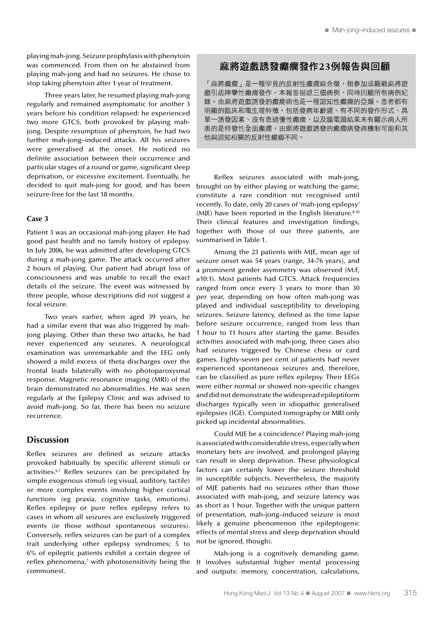playing mah-jong. Seizure prophylaxis with phenytoin was commenced. From then on he abstained from playing mah-jong and had no seizures. He chose to stop taking phenytoin after 1 year of treatment.

Three years later, he resumed playing mah-jong regularly and remained asymptomatic for another 3 years before his condition relapsed: he experienced two more GTCS, both provoked by playing mahjong. Despite resumption of phenytoin, he had two further mah-jong–induced attacks. All his seizures were generalised at the onset. He noticed no definite association between their occurrence and particular stages of a round or game, significant sleep deprivation, or excessive excitement. Eventually, he decided to quit mah-jong for good, and has been seizure-free for the last 18 months.

#### **Case 3**

Patient 3 was an occasional mah-jong player. He had good past health and no family history of epilepsy. In July 2006, he was admitted after developing GTCS during a mah-jong game. The attack occurred after 2 hours of playing. Our patient had abrupt loss of consciousness and was unable to recall the exact details of the seizure. The event was witnessed by three people, whose descriptions did not suggest a focal seizure.

Two years earlier, when aged 39 years, he had a similar event that was also triggered by mahjong playing. Other than these two attacks, he had never experienced any seizures. A neurological examination was unremarkable and the EEG only showed a mild excess of theta discharges over the frontal leads bilaterally with no photoparoxysmal response. Magnetic resonance imaging (MRI) of the brain demonstrated no abnormalities. He was seen regularly at the Epilepsy Clinic and was advised to avoid mah-jong. So far, there has been no seizure recurrence.

## **Discussion**

Reflex seizures are defined as seizure attacks provoked habitually by specific afferent stimuli or activities.6,7 Reflex seizures can be precipitated by simple exogenous stimuli (eg visual, auditory, tactile) or more complex events involving higher cortical functions (eg praxia, cognitive tasks, emotions). Reflex epilepsy or pure reflex epilepsy refers to cases in whom all seizures are exclusively triggered events (ie those without spontaneous seizures). Conversely, reflex seizures can be part of a complex trait underlying other epilepsy syndromes; 5 to 6% of epileptic patients exhibit a certain degree of reflex phenomena, $\bar{z}$  with photosensitivity being the commonest.

## 麻將游戲誘發癲癎發作23例報告與回顧

「麻將癲癇」是一種罕見的反射性癲癇綜合徵,指參加或觀戰麻將遊 戲引起陣攣性癲癇發作。本報告描述三個病例,同時回顧所有病例紀 錄。由麻將遊戲誘發的癲癇病也是一種認知性癲癇的亞類。患者都有 明顯的臨床和電生理特徵,包括發病年齡遲、有不同的發作形式、具 單一誘發因素、沒有患過慢性癲癇,以及腦電圖結果未有顯示病人所 患的是特發性全面癲癇。由麻將遊戲誘發的癲癇病發病機制可能和其 他與認知相關的反射性癲癇不同。

Reflex seizures associated with mah-jong, brought on by either playing or watching the game, constitute a rare condition not recognised until recently. To date, only 20 cases of 'mah-jong epilepsy' (MJE) have been reported in the English literature. $8-10$ Their clinical features and investigation findings, together with those of our three patients, are summarised in Table 1.

Among the 23 patients with MJE, mean age of seizure onset was 54 years (range, 34-76 years), and a prominent gender asymmetry was observed (M:F, ≥10:1). Most patients had GTCS. Attack frequencies ranged from once every 3 years to more than 30 per year, depending on how often mah-jong was played and individual susceptibility to developing seizures. Seizure latency, defined as the time lapse before seizure occurrence, ranged from less than 1 hour to 11 hours after starting the game. Besides activities associated with mah-jong, three cases also had seizures triggered by Chinese chess or card games. Eighty-seven per cent of patients had never experienced spontaneous seizures and, therefore, can be classified as pure reflex epilepsy. Their EEGs were either normal or showed non-specific changes and did not demonstrate the widespread epileptiform discharges typically seen in idiopathic generalised epilepsies (IGE). Computed tomography or MRI only picked up incidental abnormalities.

Could MJE be a coincidence? Playing mah-jong is associated with considerable stress, especially when monetary bets are involved, and prolonged playing can result in sleep deprivation. These physiological factors can certainly lower the seizure threshold in susceptible subjects. Nevertheless, the majority of MJE patients had no seizures other than those associated with mah-jong, and seizure latency was as short as 1 hour. Together with the unique pattern of presentation, mah-jong–induced seizure is most likely a genuine phenomenon (the epileptogenic effects of mental stress and sleep deprivation should not be ignored, though).

Mah-jong is a cognitively demanding game. It involves substantial higher mental processing and outputs: memory, concentration, calculations,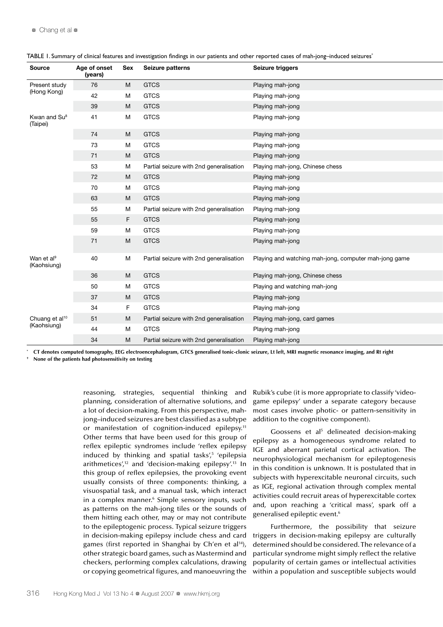| <b>Source</b>                             | Age of onset<br>(years) | Sex            | Seizure patterns                        | Seizure triggers                                      |
|-------------------------------------------|-------------------------|----------------|-----------------------------------------|-------------------------------------------------------|
| Present study<br>(Hong Kong)              | 76                      | M              | <b>GTCS</b>                             | Playing mah-jong                                      |
|                                           | 42                      | M              | <b>GTCS</b>                             | Playing mah-jong                                      |
|                                           | 39                      | M              | <b>GTCS</b>                             | Playing mah-jong                                      |
| Kwan and Su <sup>8</sup><br>(Taipei)      | 41                      | M              | <b>GTCS</b>                             | Playing mah-jong                                      |
|                                           | 74                      | M              | <b>GTCS</b>                             | Playing mah-jong                                      |
|                                           | 73                      | M              | <b>GTCS</b>                             | Playing mah-jong                                      |
|                                           | 71                      | M <sub>1</sub> | <b>GTCS</b>                             | Playing mah-jong                                      |
|                                           | 53                      | M              | Partial seizure with 2nd generalisation | Playing mah-jong, Chinese chess                       |
|                                           | 72                      | M              | <b>GTCS</b>                             | Playing mah-jong                                      |
|                                           | 70                      | M              | <b>GTCS</b>                             | Playing mah-jong                                      |
|                                           | 63                      | M              | <b>GTCS</b>                             | Playing mah-jong                                      |
|                                           | 55                      | M              | Partial seizure with 2nd generalisation | Playing mah-jong                                      |
|                                           | 55                      | F              | <b>GTCS</b>                             | Playing mah-jong                                      |
|                                           | 59                      | M              | <b>GTCS</b>                             | Playing mah-jong                                      |
|                                           | 71                      | M              | <b>GTCS</b>                             | Playing mah-jong                                      |
| Wan et al <sup>9</sup><br>(Kaohsiung)     | 40                      | M              | Partial seizure with 2nd generalisation | Playing and watching mah-jong, computer mah-jong game |
|                                           | 36                      | <b>M</b>       | <b>GTCS</b>                             | Playing mah-jong, Chinese chess                       |
|                                           | 50                      | M              | <b>GTCS</b>                             | Playing and watching mah-jong                         |
|                                           | 37                      | M <sub>1</sub> | <b>GTCS</b>                             | Playing mah-jong                                      |
|                                           | 34                      | F.             | <b>GTCS</b>                             | Playing mah-jong                                      |
| Chuang et al <sup>10</sup><br>(Kaohsiung) | 51                      | M              | Partial seizure with 2nd generalisation | Playing mah-jong, card games                          |
|                                           | 44                      | M              | <b>GTCS</b>                             | Playing mah-jong                                      |
|                                           | 34                      | M              | Partial seizure with 2nd generalisation | Playing mah-jong                                      |

TABLE 1. Summary of clinical features and investigation findings in our patients and other reported cases of mah-jong–induced seizures\*

**\* CT denotes computed tomography, EEG electroencephalogram, GTCS generalised tonic-clonic seizure, Lt left, MRI magnetic resonance imaging, and Rt right**

**† None of the patients had photosensitivity on testing**

reasoning, strategies, sequential thinking and planning, consideration of alternative solutions, and a lot of decision-making. From this perspective, mahjong–induced seizures are best classified as a subtype or manifestation of cognition-induced epilepsy.<sup>11</sup> Other terms that have been used for this group of reflex epileptic syndromes include 'reflex epilepsy induced by thinking and spatial tasks',<sup>5</sup> 'epilepsia arithmetices', $12$  and 'decision-making epilepsy'.<sup>13</sup> In this group of reflex epilepsies, the provoking event usually consists of three components: thinking, a visuospatial task, and a manual task, which interact in a complex manner.<sup>6</sup> Simple sensory inputs, such as patterns on the mah-jong tiles or the sounds of them hitting each other, may or may not contribute to the epileptogenic process. Typical seizure triggers in decision-making epilepsy include chess and card games (first reported in Shanghai by Ch'en et al<sup>14</sup>), other strategic board games, such as Mastermind and checkers, performing complex calculations, drawing or copying geometrical figures, and manoeuvring the

Rubik's cube (it is more appropriate to classify 'videogame epilepsy' under a separate category because most cases involve photic- or pattern-sensitivity in addition to the cognitive component).

Goossens et al<sup>5</sup> delineated decision-making epilepsy as a homogeneous syndrome related to IGE and aberrant parietal cortical activation. The neurophysiological mechanism for epileptogenesis in this condition is unknown. It is postulated that in subjects with hyperexcitable neuronal circuits, such as IGE, regional activation through complex mental activities could recruit areas of hyperexcitable cortex and, upon reaching a 'critical mass', spark off a generalised epileptic event.6

Furthermore, the possibility that seizure triggers in decision-making epilepsy are culturally determined should be considered. The relevance of a particular syndrome might simply reflect the relative popularity of certain games or intellectual activities within a population and susceptible subjects would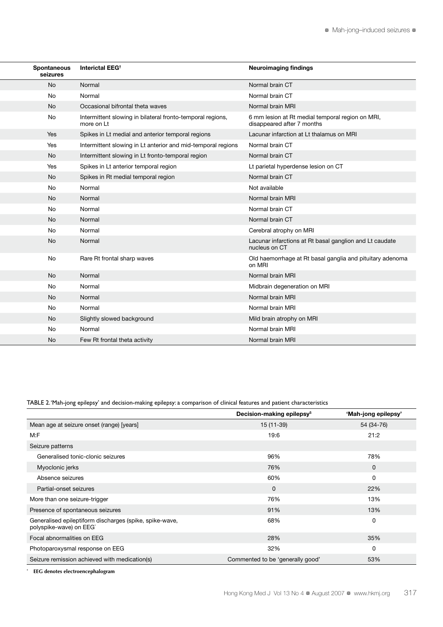| Spontaneous<br>seizures | Interictal EEG <sup>+</sup>                                              | <b>Neuroimaging findings</b>                                                   |
|-------------------------|--------------------------------------------------------------------------|--------------------------------------------------------------------------------|
| No                      | Normal                                                                   | Normal brain CT                                                                |
| No                      | Normal                                                                   | Normal brain CT                                                                |
| <b>No</b>               | Occasional bifrontal theta waves                                         | Normal brain MRI                                                               |
| No                      | Intermittent slowing in bilateral fronto-temporal regions,<br>more on Lt | 6 mm lesion at Rt medial temporal region on MRI,<br>disappeared after 7 months |
| Yes                     | Spikes in Lt medial and anterior temporal regions                        | Lacunar infarction at Lt thalamus on MRI                                       |
| Yes                     | Intermittent slowing in Lt anterior and mid-temporal regions             | Normal brain CT                                                                |
| <b>No</b>               | Intermittent slowing in Lt fronto-temporal region                        | Normal brain CT                                                                |
| Yes                     | Spikes in Lt anterior temporal region                                    | Lt parietal hyperdense lesion on CT                                            |
| No                      | Spikes in Rt medial temporal region                                      | Normal brain CT                                                                |
| No                      | Normal                                                                   | Not available                                                                  |
| <b>No</b>               | Normal                                                                   | Normal brain MRI                                                               |
| No                      | Normal                                                                   | Normal brain CT                                                                |
| <b>No</b>               | Normal                                                                   | Normal brain CT                                                                |
| No                      | Normal                                                                   | Cerebral atrophy on MRI                                                        |
| <b>No</b>               | Normal                                                                   | Lacunar infarctions at Rt basal ganglion and Lt caudate<br>nucleus on CT       |
| No                      | Rare Rt frontal sharp waves                                              | Old haemorrhage at Rt basal ganglia and pituitary adenoma<br>on MRI            |
| <b>No</b>               | Normal                                                                   | Normal brain MRI                                                               |
| No                      | Normal                                                                   | Midbrain degeneration on MRI                                                   |
| <b>No</b>               | Normal                                                                   | Normal brain MRI                                                               |
| No                      | Normal                                                                   | Normal brain MRI                                                               |
| <b>No</b>               | Slightly slowed background                                               | Mild brain atrophy on MRI                                                      |
| No                      | Normal                                                                   | Normal brain MRI                                                               |
| <b>No</b>               | Few Rt frontal theta activity                                            | Normal brain MRI                                                               |

## TABLE 2. 'Mah-jong epilepsy' and decision-making epilepsy: a comparison of clinical features and patient characteristics

|                                                                                    | Decision-making epilepsy <sup>5</sup> | 'Mah-jong epilepsy' |
|------------------------------------------------------------------------------------|---------------------------------------|---------------------|
| Mean age at seizure onset (range) [years]                                          | 15 (11-39)                            | 54 (34-76)          |
| M:F                                                                                | 19:6                                  | 21:2                |
| Seizure patterns                                                                   |                                       |                     |
| Generalised tonic-clonic seizures                                                  | 96%                                   | 78%                 |
| Myoclonic jerks                                                                    | 76%                                   | 0                   |
| Absence seizures                                                                   | 60%                                   | 0                   |
| Partial-onset seizures                                                             | $\mathbf 0$                           | 22%                 |
| More than one seizure-trigger                                                      | 76%                                   | 13%                 |
| Presence of spontaneous seizures                                                   | 91%                                   | 13%                 |
| Generalised epileptiform discharges (spike, spike-wave,<br>polyspike-wave) on EEG* | 68%                                   | 0                   |
| Focal abnormalities on EEG                                                         | 28%                                   | 35%                 |
| Photoparoxysmal response on EEG                                                    | 32%                                   | 0                   |
| Seizure remission achieved with medication(s)                                      | Commented to be 'generally good'      | 53%                 |

**\* EEG denotes electroencephalogram**